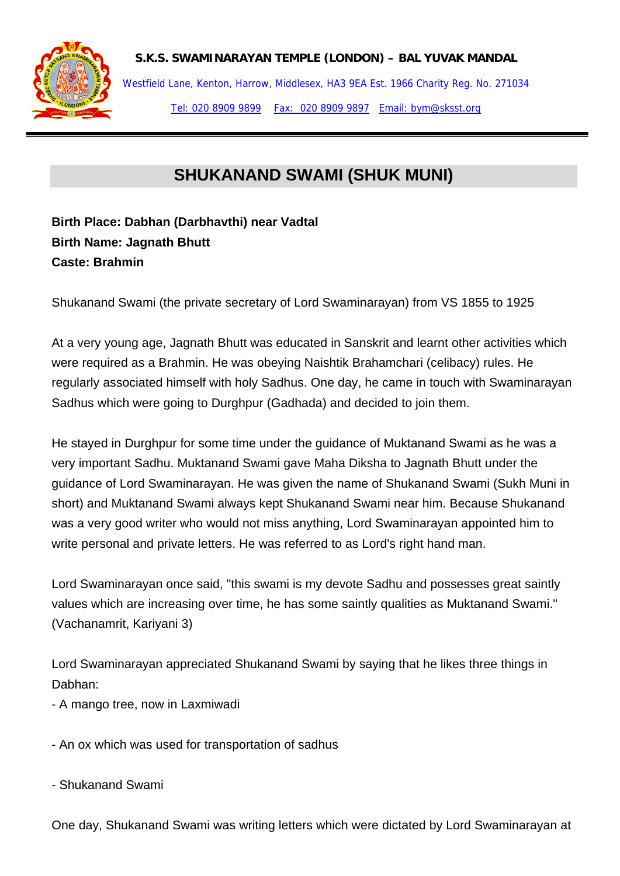

**S.K.S. SWAMINARAYAN TEMPLE (LONDON) – BAL YUVAK MANDAL** 

Westfield Lane, Kenton, Harrow, Middlesex, HA3 9EA Est. 1966 Charity Reg. No. 271034 Tel: 020 8909 9899 Fax: 020 8909 9897 Email: bym@sksst.org

# **SHUKANAND SWAMI (SHUK MUNI)**

## **Birth Place: Dabhan (Darbhavthi) near Vadtal Birth Name: Jagnath Bhutt Caste: Brahmin**

Shukanand Swami (the private secretary of Lord Swaminarayan) from VS 1855 to 1925

At a very young age, Jagnath Bhutt was educated in Sanskrit and learnt other activities which were required as a Brahmin. He was obeying Naishtik Brahamchari (celibacy) rules. He regularly associated himself with holy Sadhus. One day, he came in touch with Swaminarayan Sadhus which were going to Durghpur (Gadhada) and decided to join them.

He stayed in Durghpur for some time under the guidance of Muktanand Swami as he was a very important Sadhu. Muktanand Swami gave Maha Diksha to Jagnath Bhutt under the guidance of Lord Swaminarayan. He was given the name of Shukanand Swami (Sukh Muni in short) and Muktanand Swami always kept Shukanand Swami near him. Because Shukanand was a very good writer who would not miss anything, Lord Swaminarayan appointed him to write personal and private letters. He was referred to as Lord's right hand man.

Lord Swaminarayan once said, "this swami is my devote Sadhu and possesses great saintly values which are increasing over time, he has some saintly qualities as Muktanand Swami." (Vachanamrit, Kariyani 3)

Lord Swaminarayan appreciated Shukanand Swami by saying that he likes three things in Dabhan:

- A mango tree, now in Laxmiwadi
- An ox which was used for transportation of sadhus
- Shukanand Swami

One day, Shukanand Swami was writing letters which were dictated by Lord Swaminarayan at